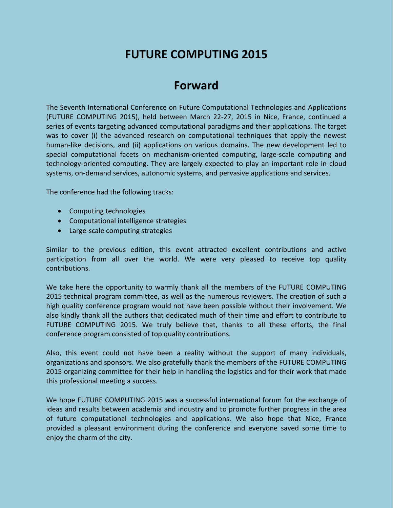# **FUTURE COMPUTING 2015**

# **Forward**

The Seventh International Conference on Future Computational Technologies and Applications (FUTURE COMPUTING 2015), held between March 22-27, 2015 in Nice, France, continued a series of events targeting advanced computational paradigms and their applications. The target was to cover (i) the advanced research on computational techniques that apply the newest human-like decisions, and (ii) applications on various domains. The new development led to special computational facets on mechanism-oriented computing, large-scale computing and technology-oriented computing. They are largely expected to play an important role in cloud systems, on-demand services, autonomic systems, and pervasive applications and services.

The conference had the following tracks:

- Computing technologies
- Computational intelligence strategies
- Large-scale computing strategies

Similar to the previous edition, this event attracted excellent contributions and active participation from all over the world. We were very pleased to receive top quality contributions.

We take here the opportunity to warmly thank all the members of the FUTURE COMPUTING 2015 technical program committee, as well as the numerous reviewers. The creation of such a high quality conference program would not have been possible without their involvement. We also kindly thank all the authors that dedicated much of their time and effort to contribute to FUTURE COMPUTING 2015. We truly believe that, thanks to all these efforts, the final conference program consisted of top quality contributions.

Also, this event could not have been a reality without the support of many individuals, organizations and sponsors. We also gratefully thank the members of the FUTURE COMPUTING 2015 organizing committee for their help in handling the logistics and for their work that made this professional meeting a success.

We hope FUTURE COMPUTING 2015 was a successful international forum for the exchange of ideas and results between academia and industry and to promote further progress in the area of future computational technologies and applications. We also hope that Nice, France provided a pleasant environment during the conference and everyone saved some time to enjoy the charm of the city.